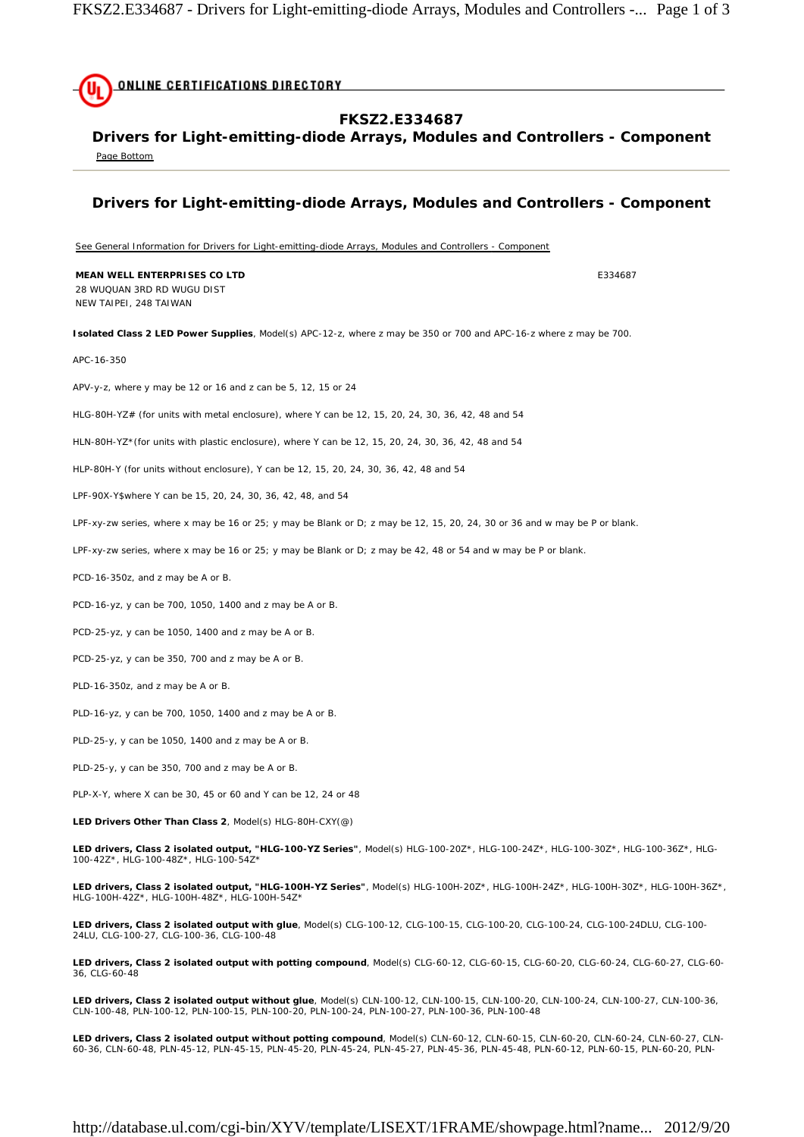

**LED drivers, Class 2 isolated output without potting compound**, Model(s) CLN-60-12, CLN-60-15, CLN-60-20, CLN-60-24, CLN-60-27, CLN-60-36, CLN-60-48, PLN-45-12, PLN-45-15, PLN-45-20, PLN-45-24, PLN-45-27, PLN-45-36, PLN-45-48, PLN-60-12, PLN-60-15, PLN-60-20, PLN-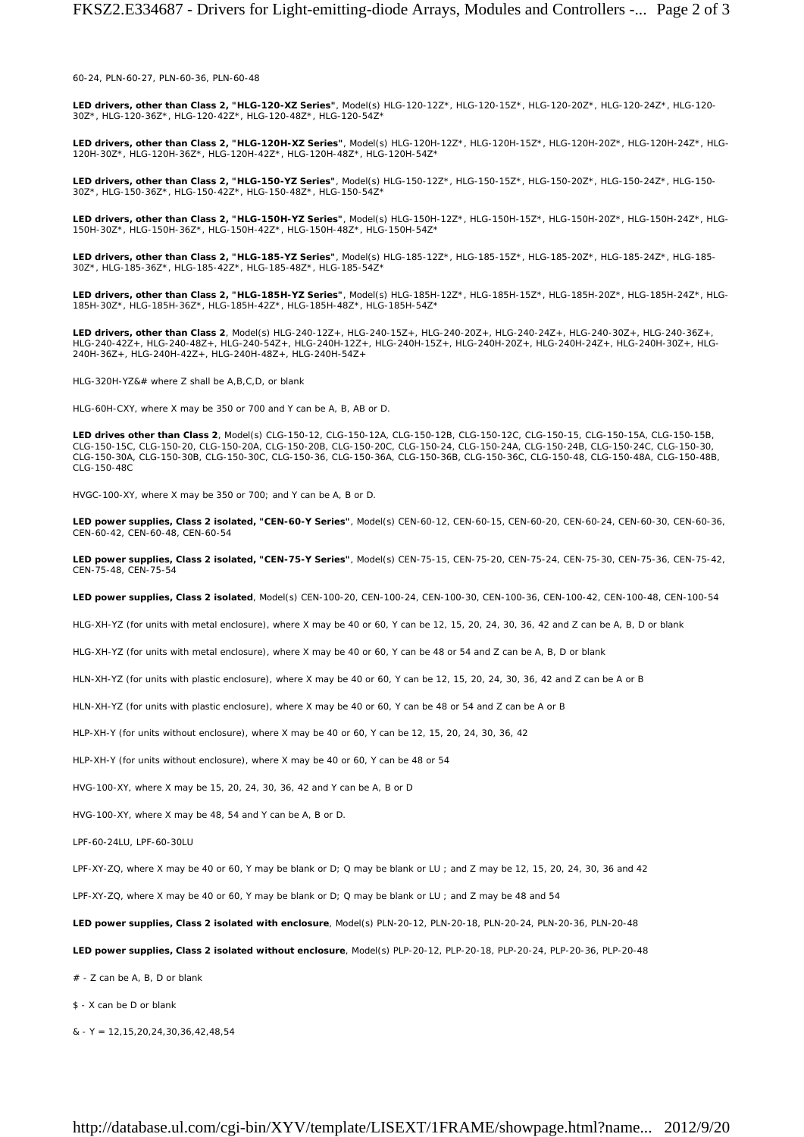60-24, PLN-60-27, PLN-60-36, PLN-60-48

**LED drivers, other than Class 2, "HLG-120-XZ Series"**, Model(s) HLG-120-12Z\*, HLG-120-15Z\*, HLG-120-20Z\*, HLG-120-24Z\*, HLG-120-<br>30Z\*, HLG-120-36Z\*, HLG-120-42Z\*, HLG-120-48Z\*, HLG-120-54Z\*

**LED drivers, other than Class 2, "HLG-120H-XZ Series"**, Model(s) HLG-120H-12Z\*, HLG-120H-15Z\*, HLG-120H-20Z\*, HLG-120H-24Z\*, HLG-120H-30Z\*, HLG-120H-36Z\*, HLG-120H-42Z\*, HLG-120H-48Z\*, HLG-120H-54Z\*

**LED drivers, other than Class 2, "HLG-150-YZ Series"**, Model(s) HLG-150-12Z\*, HLG-150-15Z\*, HLG-150-20Z\*, HLG-150-24Z\*, HLG-150- 30Z\*, HLG-150-36Z\*, HLG-150-42Z\*, HLG-150-48Z\*, HLG-150-54Z\*

**LED drivers, other than Class 2, "HLG-150H-YZ Series"**, Model(s) HLG-150H-12Z\*, HLG-150H-15Z\*, HLG-150H-20Z\*, HLG-150H-24Z\*, HLG-150H-30Z\*, HLG-150H-36Z\*, HLG-150H-42Z\*, HLG-150H-48Z\*, HLG-150H-54Z\*

**LED drivers, other than Class 2, "HLG-185-YZ Series"**, Model(s) HLG-185-12Z\*, HLG-185-15Z\*, HLG-185-20Z\*, HLG-185-24Z\*, HLG-185- 30Z\*, HLG-185-36Z\*, HLG-185-42Z\*, HLG-185-48Z\*, HLG-185-54Z\*

**LED drivers, other than Class 2, "HLG-185H-YZ Series"**, Model(s) HLG-185H-12Z\*, HLG-185H-15Z\*, HLG-185H-20Z\*, HLG-185H-24Z\*, HLG-185H-30Z\*, HLG-185H-36Z\*, HLG-185H-42Z\*, HLG-185H-48Z\*, HLG-185H-54Z\*

**LED drivers, other than Class 2**, Model(s) HLG-240-12Z+, HLG-240-15Z+, HLG-240-20Z+, HLG-240-24Z+, HLG-240-30Z+, HLG-240-36Z+,<br>HLG-240-42Z+, HLG-240-48Z+, HLG-240-54Z+, HLG-240H-12Z+, HLG-240H-15Z+, HLG-240H-20Z+, HLG-240 240H-36Z+, HLG-240H-42Z+, HLG-240H-48Z+, HLG-240H-54Z+

HLG-320H-YZ&# where Z shall be A,B,C,D, or blank

HLG-60H-CXY, where X may be 350 or 700 and Y can be A, B, AB or D.

**LED drives other than Class 2**, Model(s) CLG-150-12, CLG-150-12A, CLG-150-12B, CLG-150-12C, CLG-150-15, CLG-150-15A, CLG-150-15B, CLG-150-15C, CLG-150-20, CLG-150-20A, CLG-150-20B, CLG-150-20C, CLG-150-24, CLG-150-24A, CLG-150-24B, CLG-150-24C, CLG-150-30, CLG-150-30A, CLG-150-30B, CLG-150-30C, CLG-150-36, CLG-150-36A, CLG-150-36B, CLG-150-36C, CLG-150-48, CLG-150-48A, CLG-150-48B, CLG-150-48C

HVGC-100-XY, where X may be 350 or 700; and Y can be A, B or D.

**LED power supplies, Class 2 isolated, "CEN-60-Y Series"**, Model(s) CEN-60-12, CEN-60-15, CEN-60-20, CEN-60-24, CEN-60-30, CEN-60-36, CEN-60-42, CEN-60-48, CEN-60-54

**LED power supplies, Class 2 isolated, "CEN-75-Y Series"**, Model(s) CEN-75-15, CEN-75-20, CEN-75-24, CEN-75-30, CEN-75-36, CEN-75-42, CEN-75-48, CEN-75-54

**LED power supplies, Class 2 isolated**, Model(s) CEN-100-20, CEN-100-24, CEN-100-30, CEN-100-36, CEN-100-42, CEN-100-48, CEN-100-54

HLG-XH-YZ (for units with metal enclosure), where X may be 40 or 60, Y can be 12, 15, 20, 24, 30, 36, 42 and Z can be A, B, D or blank

HLG-XH-YZ (for units with metal enclosure), where X may be 40 or 60, Y can be 48 or 54 and Z can be A, B, D or blank

HLN-XH-YZ (for units with plastic enclosure), where X may be 40 or 60, Y can be 12, 15, 20, 24, 30, 36, 42 and Z can be A or B

HLN-XH-YZ (for units with plastic enclosure), where X may be 40 or 60, Y can be 48 or 54 and Z can be A or B

HLP-XH-Y (for units without enclosure), where X may be 40 or 60, Y can be 12, 15, 20, 24, 30, 36, 42

HLP-XH-Y (for units without enclosure), where X may be 40 or 60, Y can be 48 or 54

HVG-100-XY, where X may be 15, 20, 24, 30, 36, 42 and Y can be A, B or D

HVG-100-XY, where X may be 48, 54 and Y can be A, B or D.

LPF-60-24LU, LPF-60-30LU

LPF-XY-ZQ, where X may be 40 or 60, Y may be blank or D; Q may be blank or LU ; and Z may be 12, 15, 20, 24, 30, 36 and 42

LPF-XY-ZQ, where X may be 40 or 60, Y may be blank or D; Q may be blank or LU ; and Z may be 48 and 54

**LED power supplies, Class 2 isolated with enclosure**, Model(s) PLN-20-12, PLN-20-18, PLN-20-24, PLN-20-36, PLN-20-48

**LED power supplies, Class 2 isolated without enclosure**, Model(s) PLP-20-12, PLP-20-18, PLP-20-24, PLP-20-36, PLP-20-48

# - Z can be A, B, D or blank

\$ - X can be D or blank

 $&$  - Y = 12,15,20,24,30,36,42,48,54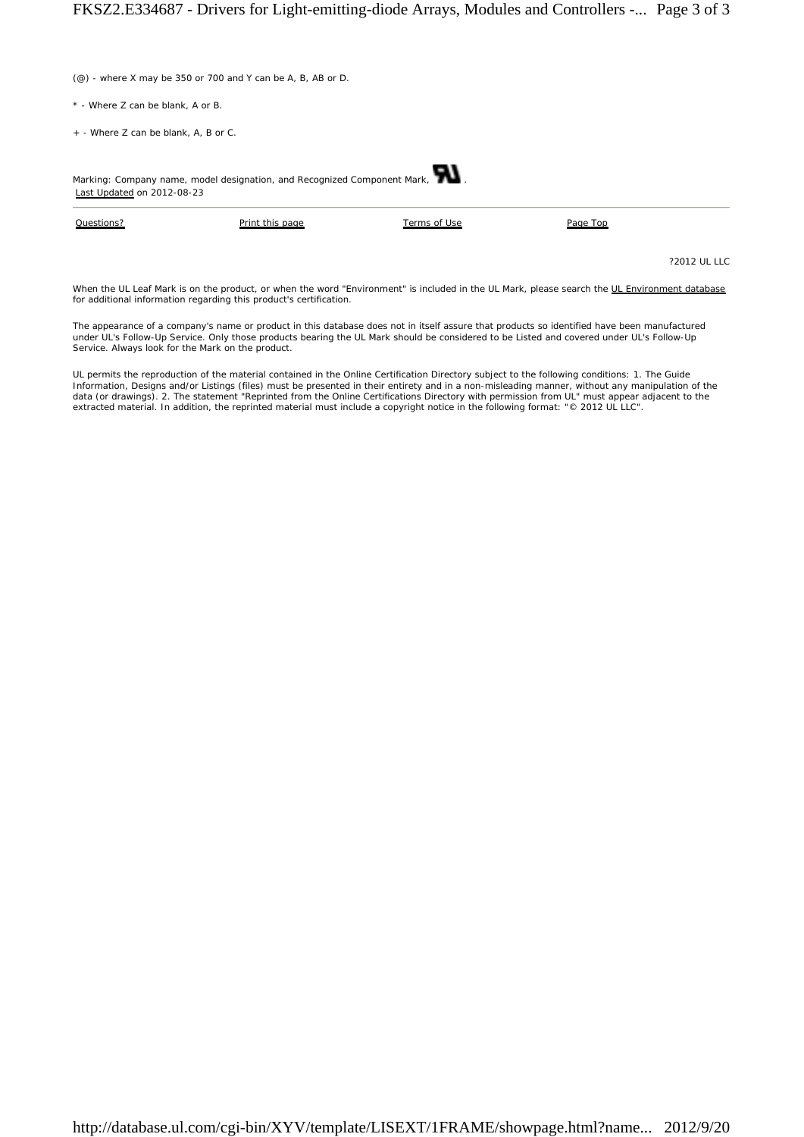(@) - where X may be 350 or 700 and Y can be A, B, AB or D.

- \* Where Z can be blank, A or B.
- + Where Z can be blank, A, B or C.

| Marking: Company name, model designation, and Recognized Component Mark,<br>Last Updated on 2012-08-23 |                 |              |          |
|--------------------------------------------------------------------------------------------------------|-----------------|--------------|----------|
| Questions?                                                                                             | Print this page | Terms of Use | Page Top |

?2012 UL LLC

When the UL Leaf Mark is on the product, or when the word "Environment" is included in the UL Mark, please search the UL Environment database for additional information regarding this product's certification.

The appearance of a company's name or product in this database does not in itself assure that products so identified have been manufactured<br>under UL's Follow-Up Service. Only those products bearing the UL Mark should be co Service. Always look for the Mark on the product.

UL permits the reproduction of the material contained in the Online Certification Directory subject to the following conditions: 1. The Guide<br>Information, Designs and/or Listings (files) must be presented in their entirety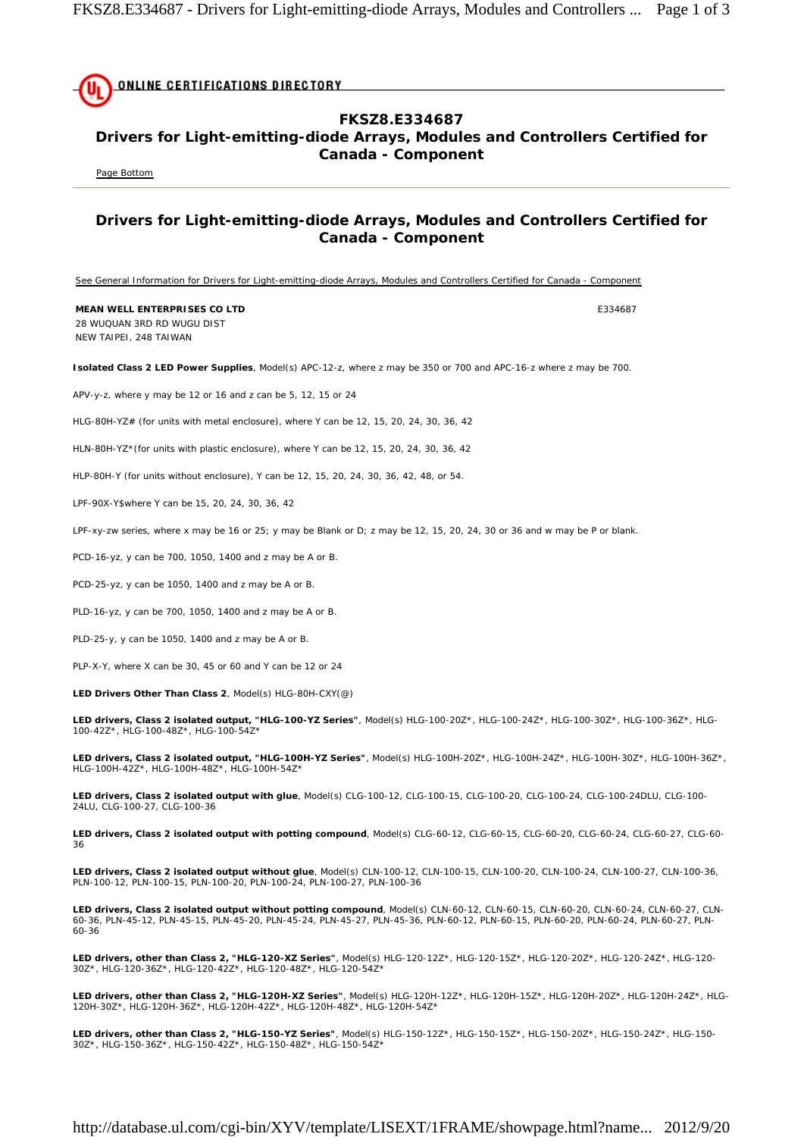**ONLINE CERTIFICATIONS DIRECTORY FKSZ8.E334687 Drivers for Light-emitting-diode Arrays, Modules and Controllers Certified for Canada - Component**  Page Bottom **Drivers for Light-emitting-diode Arrays, Modules and Controllers Certified for Canada - Component**  See General Information for Drivers for Light-emitting-diode Arrays, Modules and Controllers Certified for Canada - Component **MEAN WELL ENTERPRISES CO LTD EXAMPLE 234687** 28 WUQUAN 3RD RD WUGU DIST NEW TAIPEI, 248 TAIWAN **Isolated Class 2 LED Power Supplies**, Model(s) APC-12-z, where z may be 350 or 700 and APC-16-z where z may be 700. APV-y-z, where y may be 12 or 16 and z can be 5, 12, 15 or 24 HLG-80H-YZ# (for units with metal enclosure), where Y can be 12, 15, 20, 24, 30, 36, 42 HLN-80H-YZ\*(for units with plastic enclosure), where Y can be 12, 15, 20, 24, 30, 36, 42 HLP-80H-Y (for units without enclosure), Y can be 12, 15, 20, 24, 30, 36, 42, 48, or 54. LPF-90X-Y\$where Y can be 15, 20, 24, 30, 36, 42 LPF-xy-zw series, where x may be 16 or 25; y may be Blank or D; z may be 12, 15, 20, 24, 30 or 36 and w may be P or blank. PCD-16-yz, y can be 700, 1050, 1400 and z may be A or B. PCD-25-yz, y can be 1050, 1400 and z may be A or B. PLD-16-yz, y can be 700, 1050, 1400 and z may be A or B. PLD-25-y, y can be 1050, 1400 and z may be A or B. PLP-X-Y, where X can be 30, 45 or 60 and Y can be 12 or 24 **LED Drivers Other Than Class 2**, Model(s) HLG-80H-CXY(@)

**LED drivers, Class 2 isolated output, "HLG-100-YZ Series"**, Model(s) HLG-100-20Z\*, HLG-100-24Z\*, HLG-100-30Z\*, HLG-100-36Z\*, HLG-100-42Z\*, HLG-100-48Z\*, HLG-100-54Z\*

**LED drivers, Class 2 isolated output, "HLG-100H-YZ Series"**, Model(s) HLG-100H-20Z\*, HLG-100H-24Z\*, HLG-100H-30Z\*, HLG-100H-36Z\*, HLG-100H-42Z\*, HLG-100H-48Z\*, HLG-100H-54Z\*

**LED drivers, Class 2 isolated output with glue**, Model(s) CLG-100-12, CLG-100-15, CLG-100-20, CLG-100-24, CLG-100-24DLU, CLG-100- 24LU, CLG-100-27, CLG-100-36

**LED drivers, Class 2 isolated output with potting compound**, Model(s) CLG-60-12, CLG-60-15, CLG-60-20, CLG-60-24, CLG-60-27, CLG-60- 36

**LED drivers, Class 2 isolated output without glue**, Model(s) CLN-100-12, CLN-100-15, CLN-100-20, CLN-100-24, CLN-100-27, CLN-100-36, PLN-100-12, PLN-100-15, PLN-100-20, PLN-100-24, PLN-100-27, PLN-100-36

**LED drivers, Class 2 isolated output without potting compound**, Model(s) CLN-60-12, CLN-60-15, CLN-60-20, CLN-60-24, CLN-60-27, CLN-60-36, PLN-45-12, PLN-45-15, PLN-45-20, PLN-45-24, PLN-45-27, PLN-45-36, PLN-60-12, PLN-60-15, PLN-60-20, PLN-60-24, PLN-60-27, PLN-60-36

**LED drivers, other than Class 2, "HLG-120-XZ Series"**, Model(s) HLG-120-12Z\*, HLG-120-15Z\*, HLG-120-20Z\*, HLG-120-24Z\*, HLG-120- 30Z\*, HLG-120-36Z\*, HLG-120-42Z\*, HLG-120-48Z\*, HLG-120-54Z\*

**LED drivers, other than Class 2, "HLG-120H-XZ Series"**, Model(s) HLG-120H-12Z\*, HLG-120H-15Z\*, HLG-120H-20Z\*, HLG-120H-24Z\*, HLG-120H-30Z\*, HLG-120H-36Z\*, HLG-120H-42Z\*, HLG-120H-48Z\*, HLG-120H-54Z\*

**LED drivers, other than Class 2, "HLG-150-YZ Series"**, Model(s) HLG-150-12Z\*, HLG-150-15Z\*, HLG-150-20Z\*, HLG-150-24Z\*, HLG-150- 30Z\*, HLG-150-36Z\*, HLG-150-42Z\*, HLG-150-48Z\*, HLG-150-54Z\*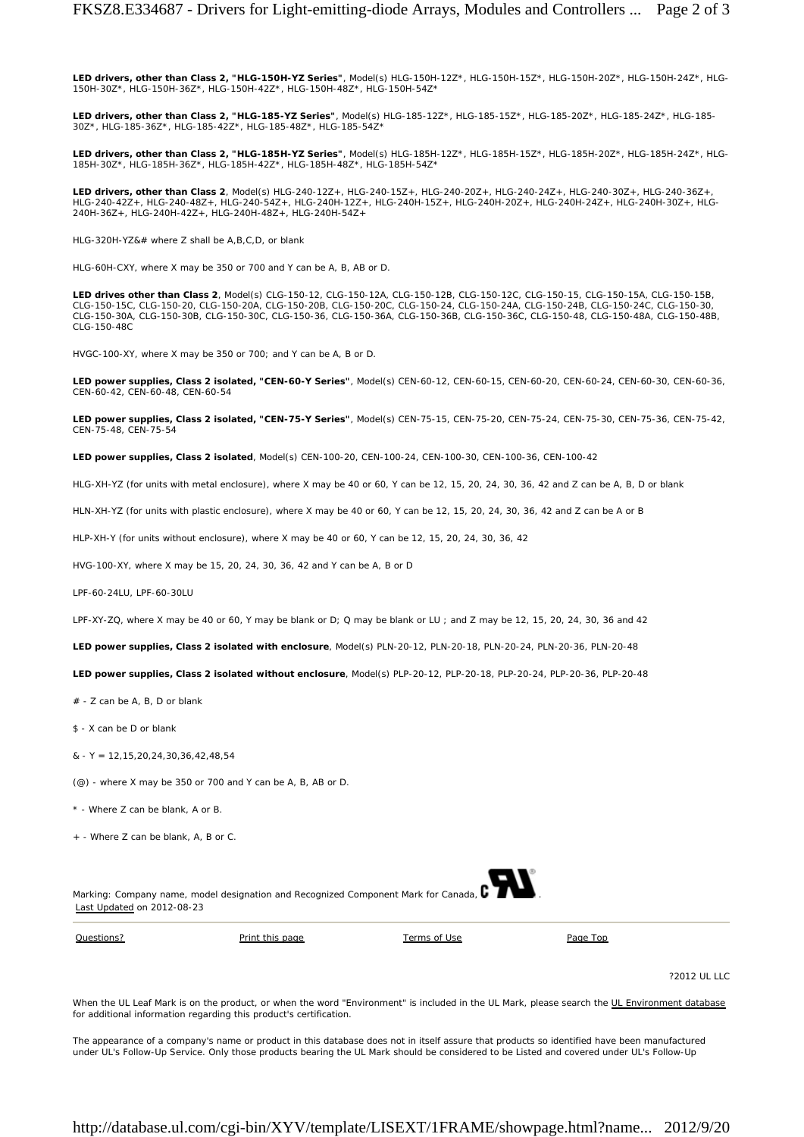**LED drivers, other than Class 2, "HLG-150H-YZ Series"**, Model(s) HLG-150H-12Z\*, HLG-150H-15Z\*, HLG-150H-20Z\*, HLG-150H-24Z\*, HLG-150H-30Z\*, HLG-150H-36Z\*, HLG-150H-42Z\*, HLG-150H-48Z\*, HLG-150H-54Z\*

**LED drivers, other than Class 2, "HLG-185-YZ Series"**, Model(s) HLG-185-12Z\*, HLG-185-15Z\*, HLG-185-20Z\*, HLG-185-24Z\*, HLG-185- 30Z\*, HLG-185-36Z\*, HLG-185-42Z\*, HLG-185-48Z\*, HLG-185-54Z\*

**LED drivers, other than Class 2, "HLG-185H-YZ Series"**, Model(s) HLG-185H-12Z\*, HLG-185H-15Z\*, HLG-185H-20Z\*, HLG-185H-24Z\*, HLG-185H-30Z\*, HLG-185H-36Z\*, HLG-185H-42Z\*, HLG-185H-48Z\*, HLG-185H-54Z\*

**LED drivers, other than Class 2**, Model(s) HLG-240-12Z+, HLG-240-15Z+, HLG-240-20Z+, HLG-240-24Z+, HLG-240-30Z+, HLG-240-36Z+, HLG-240-42Z+, HLG-240-48Z+, HLG-240-54Z+, HLG-240H-12Z+, HLG-240H-15Z+, HLG-240H-20Z+, HLG-240H-24Z+, HLG-240H-30Z+, HLG-<br>240H-36Z+, HLG-240H-42Z+, HLG-240H-48Z+, HLG-240H-54Z+

HLG-320H-YZ&# where Z shall be A,B,C,D, or blank

HLG-60H-CXY, where X may be 350 or 700 and Y can be A, B, AB or D.

**LED drives other than Class 2**, Model(s) CLG-150-12, CLG-150-12A, CLG-150-12B, CLG-150-12C, CLG-150-15, CLG-150-15A, CLG-150-15B, CLG-150-15C, CLG-150-20, CLG-150-20A, CLG-150-20B, CLG-150-20C, CLG-150-24, CLG-150-24A, CLG-150-24B, CLG-150-24C, CLG-150-30, CLG-150-30A, CLG-150-30B, CLG-150-30C, CLG-150-36, CLG-150-36A, CLG-150-36B, CLG-150-36C, CLG-150-48, CLG-150-48A, CLG-150-48B, CLG-150-48C

HVGC-100-XY, where X may be 350 or 700; and Y can be A, B or D.

**LED power supplies, Class 2 isolated, "CEN-60-Y Series"**, Model(s) CEN-60-12, CEN-60-15, CEN-60-20, CEN-60-24, CEN-60-30, CEN-60-36, CEN-60-42, CEN-60-48, CEN-60-54

**LED power supplies, Class 2 isolated, "CEN-75-Y Series"**, Model(s) CEN-75-15, CEN-75-20, CEN-75-24, CEN-75-30, CEN-75-36, CEN-75-42, CEN-75-48, CEN-75-54

**LED power supplies, Class 2 isolated**, Model(s) CEN-100-20, CEN-100-24, CEN-100-30, CEN-100-36, CEN-100-42

HLG-XH-YZ (for units with metal enclosure), where X may be 40 or 60, Y can be 12, 15, 20, 24, 30, 36, 42 and Z can be A, B, D or blank

HLN-XH-YZ (for units with plastic enclosure), where X may be 40 or 60, Y can be 12, 15, 20, 24, 30, 36, 42 and Z can be A or B

HLP-XH-Y (for units without enclosure), where X may be 40 or 60, Y can be 12, 15, 20, 24, 30, 36, 42

HVG-100-XY, where X may be 15, 20, 24, 30, 36, 42 and Y can be A, B or D

LPF-60-24LU, LPF-60-30LU

LPF-XY-ZQ, where X may be 40 or 60, Y may be blank or  $D_i$ ; Q may be blank or LU ; and Z may be 12, 15, 20, 24, 30, 36 and 42

**LED power supplies, Class 2 isolated with enclosure**, Model(s) PLN-20-12, PLN-20-18, PLN-20-24, PLN-20-36, PLN-20-48

**LED power supplies, Class 2 isolated without enclosure**, Model(s) PLP-20-12, PLP-20-18, PLP-20-24, PLP-20-36, PLP-20-48

# - Z can be A, B, D or blank

\$ - X can be D or blank

 $& - Y = 12.15.20.24.30.36.42.48.54$ 

 $(Q)$  - where X may be 350 or 700 and Y can be A, B, AB or D.

\* - Where Z can be blank, A or B.

+ - Where Z can be blank, A, B or C.

Marking: Company name, model designation and Recognized Component Mark for Canada,  $\blacksquare$ Last Updated on 2012-08-23

Questions? Print this page Terms of Use Page Top

?2012 UL LLC

When the UL Leaf Mark is on the product, or when the word "Environment" is included in the UL Mark, please search the UL Environment database for additional information regarding this product's certification.

The appearance of a company's name or product in this database does not in itself assure that products so identified have been manufactured under UL's Follow-Up Service. Only those products bearing the UL Mark should be considered to be Listed and covered under UL's Follow-Up